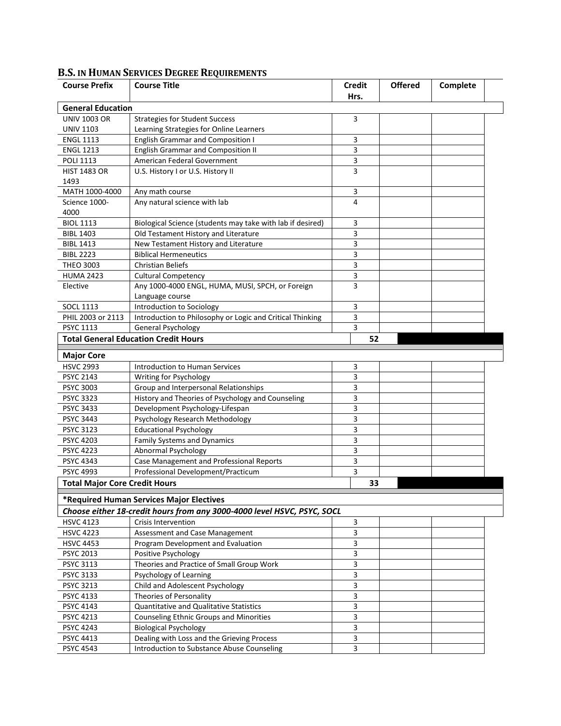| <b>Course Prefix</b>                    | <b>Course Title</b>                                                                 | <b>Credit</b> | <b>Offered</b> | Complete |
|-----------------------------------------|-------------------------------------------------------------------------------------|---------------|----------------|----------|
|                                         |                                                                                     | Hrs.          |                |          |
| <b>General Education</b>                |                                                                                     |               |                |          |
| <b>UNIV 1003 OR</b><br><b>UNIV 1103</b> | <b>Strategies for Student Success</b>                                               | 3             |                |          |
| <b>ENGL 1113</b>                        | Learning Strategies for Online Learners<br><b>English Grammar and Composition I</b> | 3             |                |          |
| <b>ENGL 1213</b>                        | <b>English Grammar and Composition II</b>                                           | 3             |                |          |
| <b>POLI 1113</b>                        | American Federal Government                                                         | 3             |                |          |
| <b>HIST 1483 OR</b>                     | U.S. History I or U.S. History II                                                   | 3             |                |          |
| 1493                                    |                                                                                     |               |                |          |
| MATH 1000-4000                          | Any math course                                                                     | 3             |                |          |
| Science 1000-                           | Any natural science with lab                                                        | 4             |                |          |
| 4000                                    |                                                                                     |               |                |          |
| <b>BIOL 1113</b>                        | Biological Science (students may take with lab if desired)                          | 3             |                |          |
| <b>BIBL 1403</b>                        | Old Testament History and Literature                                                | 3             |                |          |
| <b>BIBL 1413</b>                        | New Testament History and Literature                                                | 3             |                |          |
| <b>BIBL 2223</b>                        | <b>Biblical Hermeneutics</b>                                                        | 3             |                |          |
| <b>THEO 3003</b>                        | <b>Christian Beliefs</b>                                                            | 3             |                |          |
| <b>HUMA 2423</b>                        | <b>Cultural Competency</b>                                                          | 3             |                |          |
| Elective                                | Any 1000-4000 ENGL, HUMA, MUSI, SPCH, or Foreign                                    | 3             |                |          |
|                                         | Language course                                                                     |               |                |          |
| <b>SOCL 1113</b>                        | Introduction to Sociology                                                           | 3             |                |          |
| PHIL 2003 or 2113                       | Introduction to Philosophy or Logic and Critical Thinking                           | 3             |                |          |
| PSYC 1113                               | <b>General Psychology</b>                                                           | 3             |                |          |
|                                         | <b>Total General Education Credit Hours</b>                                         | 52            |                |          |
| <b>Major Core</b>                       |                                                                                     |               |                |          |
| <b>HSVC 2993</b>                        | <b>Introduction to Human Services</b>                                               | 3             |                |          |
| PSYC 2143                               | Writing for Psychology                                                              | 3             |                |          |
| <b>PSYC 3003</b>                        | Group and Interpersonal Relationships                                               | 3             |                |          |
| <b>PSYC 3323</b>                        | History and Theories of Psychology and Counseling                                   | 3             |                |          |
| <b>PSYC 3433</b>                        | Development Psychology-Lifespan                                                     | 3             |                |          |
| <b>PSYC 3443</b>                        | Psychology Research Methodology                                                     | 3             |                |          |
| <b>PSYC 3123</b>                        | <b>Educational Psychology</b>                                                       | 3             |                |          |
| <b>PSYC 4203</b>                        | Family Systems and Dynamics                                                         | 3             |                |          |
| <b>PSYC 4223</b>                        | Abnormal Psychology                                                                 | 3             |                |          |
| <b>PSYC 4343</b>                        | Case Management and Professional Reports                                            | 3             |                |          |
| <b>PSYC 4993</b>                        | Professional Development/Practicum                                                  | 3             |                |          |
| <b>Total Major Core Credit Hours</b>    |                                                                                     | 33            |                |          |
|                                         | *Required Human Services Major Electives                                            |               |                |          |
|                                         | Choose either 18-credit hours from any 3000-4000 level HSVC, PSYC, SOCL             |               |                |          |
| <b>HSVC 4123</b>                        | Crisis Intervention                                                                 | 3             |                |          |
| <b>HSVC 4223</b>                        | Assessment and Case Management                                                      | 3             |                |          |
| <b>HSVC 4453</b>                        | Program Development and Evaluation                                                  | 3             |                |          |
| PSYC 2013                               | Positive Psychology                                                                 | 3             |                |          |
| <b>PSYC 3113</b>                        | Theories and Practice of Small Group Work                                           | 3             |                |          |
| PSYC 3133                               | Psychology of Learning                                                              | 3             |                |          |
| <b>PSYC 3213</b>                        | Child and Adolescent Psychology                                                     | 3             |                |          |
| PSYC 4133                               | Theories of Personality                                                             | 3             |                |          |
| PSYC 4143                               | Quantitative and Qualitative Statistics                                             | 3             |                |          |
| PSYC 4213                               | Counseling Ethnic Groups and Minorities                                             | 3             |                |          |
| <b>PSYC 4243</b>                        | <b>Biological Psychology</b>                                                        | 3             |                |          |
| PSYC 4413                               | Dealing with Loss and the Grieving Process                                          | 3             |                |          |
|                                         |                                                                                     | 3             |                |          |

## **B.S. IN HUMAN SERVICES DEGREE REQUIREMENTS**